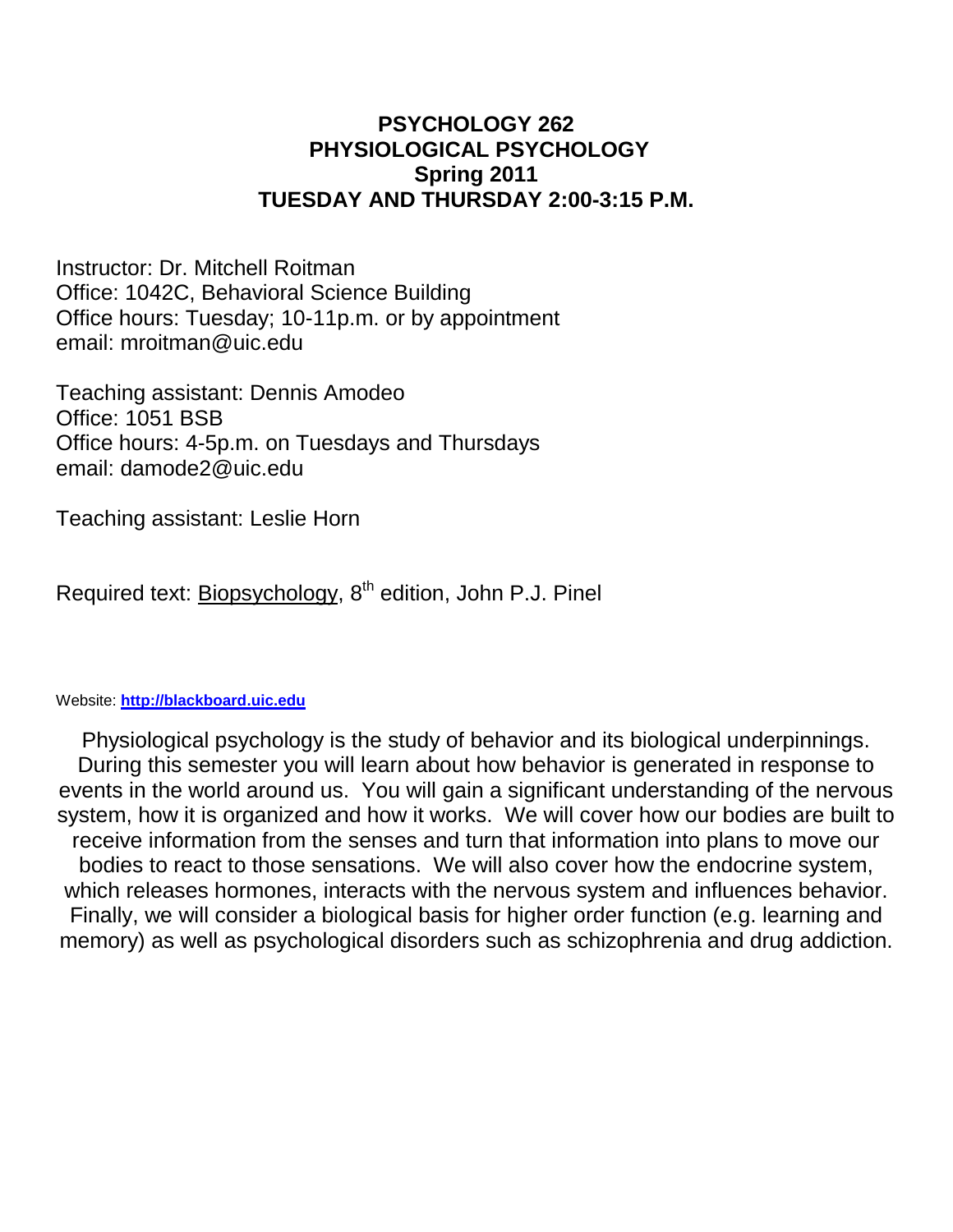#### **PSYCHOLOGY 262 PHYSIOLOGICAL PSYCHOLOGY Spring 2011 TUESDAY AND THURSDAY 2:00-3:15 P.M.**

Instructor: Dr. Mitchell Roitman Office: 1042C, Behavioral Science Building Office hours: Tuesday; 10-11p.m. or by appointment email: mroitman@uic.edu

Teaching assistant: Dennis Amodeo Office: 1051 BSB Office hours: 4-5p.m. on Tuesdays and Thursdays email: damode2@uic.edu

Teaching assistant: Leslie Horn

Required text: Biopsychology, 8<sup>th</sup> edition, John P.J. Pinel

#### Website: **[http://blackboard.uic.edu](http://blackboard.uic.edu/)**

Physiological psychology is the study of behavior and its biological underpinnings. During this semester you will learn about how behavior is generated in response to events in the world around us. You will gain a significant understanding of the nervous system, how it is organized and how it works. We will cover how our bodies are built to receive information from the senses and turn that information into plans to move our bodies to react to those sensations. We will also cover how the endocrine system, which releases hormones, interacts with the nervous system and influences behavior. Finally, we will consider a biological basis for higher order function (e.g. learning and memory) as well as psychological disorders such as schizophrenia and drug addiction.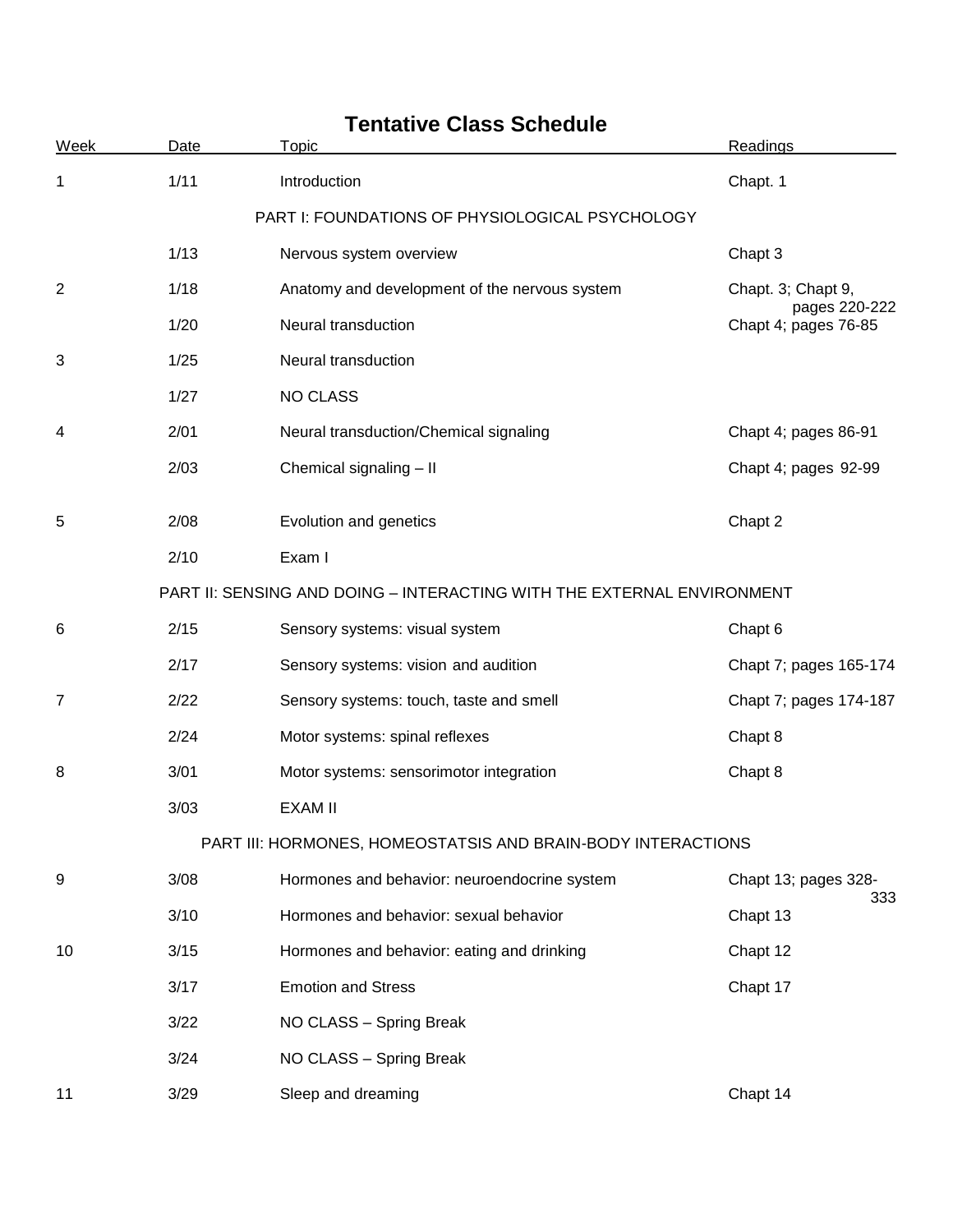| <b>Week</b>    | Date                                            | Topic                                                                  | Readings                                                    |  |  |
|----------------|-------------------------------------------------|------------------------------------------------------------------------|-------------------------------------------------------------|--|--|
| 1              | 1/11                                            | Introduction                                                           | Chapt. 1                                                    |  |  |
|                | PART I: FOUNDATIONS OF PHYSIOLOGICAL PSYCHOLOGY |                                                                        |                                                             |  |  |
|                | 1/13                                            | Nervous system overview                                                | Chapt 3                                                     |  |  |
| $\overline{2}$ | 1/18                                            | Anatomy and development of the nervous system                          | Chapt. 3; Chapt 9,<br>pages 220-222<br>Chapt 4; pages 76-85 |  |  |
|                | 1/20                                            | Neural transduction                                                    |                                                             |  |  |
| 3              | 1/25                                            | Neural transduction                                                    |                                                             |  |  |
|                | 1/27                                            | <b>NO CLASS</b>                                                        |                                                             |  |  |
| 4              | 2/01                                            | Neural transduction/Chemical signaling                                 | Chapt 4; pages 86-91                                        |  |  |
|                | 2/03                                            | Chemical signaling - II                                                | Chapt 4; pages 92-99                                        |  |  |
| 5              | 2/08                                            | Evolution and genetics                                                 | Chapt 2                                                     |  |  |
|                | 2/10                                            | Exam I                                                                 |                                                             |  |  |
|                |                                                 | PART II: SENSING AND DOING - INTERACTING WITH THE EXTERNAL ENVIRONMENT |                                                             |  |  |
| 6              | 2/15                                            | Sensory systems: visual system                                         | Chapt 6                                                     |  |  |
|                | 2/17                                            | Sensory systems: vision and audition                                   | Chapt 7; pages 165-174                                      |  |  |
| 7              | 2/22                                            | Sensory systems: touch, taste and smell                                | Chapt 7; pages 174-187                                      |  |  |
|                | 2/24                                            | Motor systems: spinal reflexes                                         | Chapt 8                                                     |  |  |
| 8              | 3/01                                            | Motor systems: sensorimotor integration                                | Chapt 8                                                     |  |  |
|                | 3/03                                            | <b>EXAM II</b>                                                         |                                                             |  |  |
|                |                                                 | PART III: HORMONES, HOMEOSTATSIS AND BRAIN-BODY INTERACTIONS           |                                                             |  |  |
| 9              | 3/08                                            | Hormones and behavior: neuroendocrine system                           | Chapt 13; pages 328-                                        |  |  |
|                | 3/10                                            | Hormones and behavior: sexual behavior                                 | 333<br>Chapt 13                                             |  |  |
| 10             | 3/15                                            | Hormones and behavior: eating and drinking                             | Chapt 12                                                    |  |  |
|                | 3/17                                            | <b>Emotion and Stress</b>                                              | Chapt 17                                                    |  |  |
|                | 3/22                                            | NO CLASS - Spring Break                                                |                                                             |  |  |
|                | 3/24                                            | NO CLASS - Spring Break                                                |                                                             |  |  |
| 11             | 3/29                                            | Sleep and dreaming                                                     | Chapt 14                                                    |  |  |

# **Tentative Class Schedule**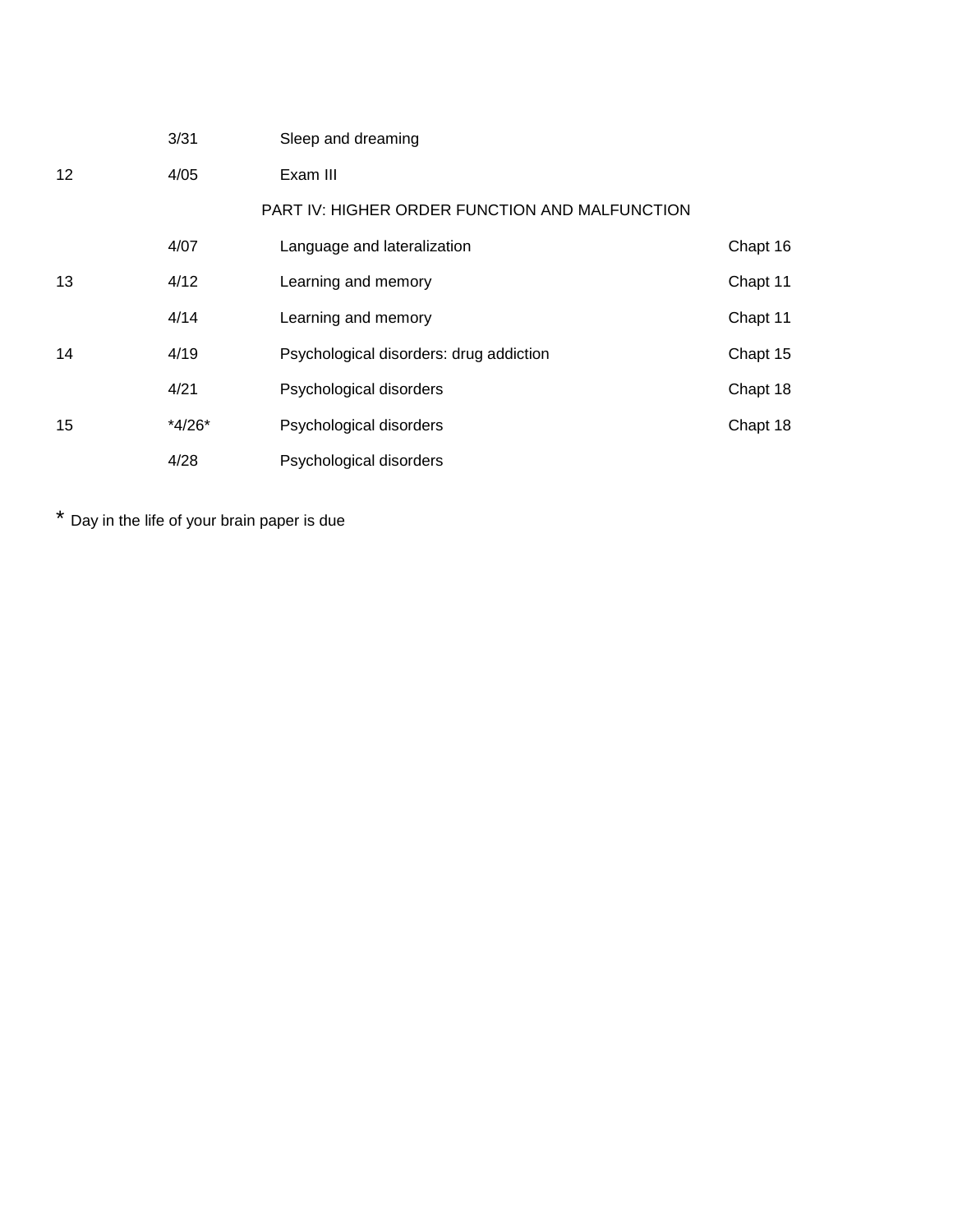|                   | 3/31     | Sleep and dreaming                                    |          |
|-------------------|----------|-------------------------------------------------------|----------|
| $12 \overline{ }$ | 4/05     | Exam III                                              |          |
|                   |          | <b>PART IV: HIGHER ORDER FUNCTION AND MALFUNCTION</b> |          |
|                   | 4/07     | Language and lateralization                           | Chapt 16 |
| 13                | 4/12     | Learning and memory                                   | Chapt 11 |
|                   | 4/14     | Learning and memory                                   | Chapt 11 |
| 14                | 4/19     | Psychological disorders: drug addiction               | Chapt 15 |
|                   | 4/21     | Psychological disorders                               | Chapt 18 |
| 15                | $*4/26*$ | Psychological disorders                               | Chapt 18 |
|                   | 4/28     | Psychological disorders                               |          |

\* Day in the life of your brain paper is due